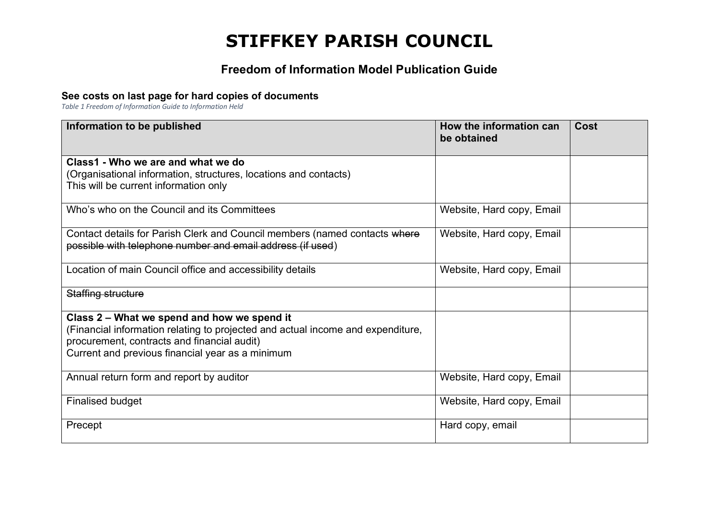## **STIFFKEY PARISH COUNCIL**

## **Freedom of Information Model Publication Guide**

## **See costs on last page for hard copies of documents**

*Table 1 Freedom of Information Guide to Information Held*

| Information to be published                                                     | How the information can<br>be obtained | Cost |
|---------------------------------------------------------------------------------|----------------------------------------|------|
| Class1 - Who we are and what we do                                              |                                        |      |
| (Organisational information, structures, locations and contacts)                |                                        |      |
| This will be current information only                                           |                                        |      |
| Who's who on the Council and its Committees                                     | Website, Hard copy, Email              |      |
| Contact details for Parish Clerk and Council members (named contacts where      | Website, Hard copy, Email              |      |
| possible with telephone number and email address (if used)                      |                                        |      |
| Location of main Council office and accessibility details                       | Website, Hard copy, Email              |      |
| Staffing structure                                                              |                                        |      |
| Class 2 - What we spend and how we spend it                                     |                                        |      |
| (Financial information relating to projected and actual income and expenditure, |                                        |      |
| procurement, contracts and financial audit)                                     |                                        |      |
| Current and previous financial year as a minimum                                |                                        |      |
| Annual return form and report by auditor                                        | Website, Hard copy, Email              |      |
| <b>Finalised budget</b>                                                         | Website, Hard copy, Email              |      |
| Precept                                                                         | Hard copy, email                       |      |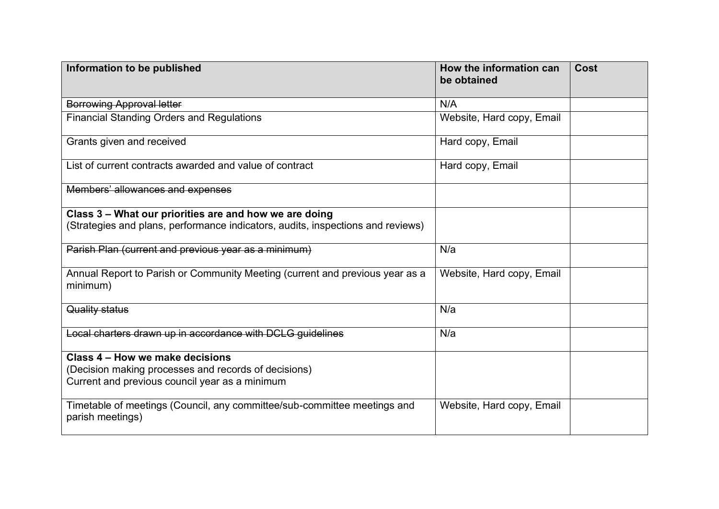| Information to be published                                                                  | How the information can<br>be obtained | <b>Cost</b> |
|----------------------------------------------------------------------------------------------|----------------------------------------|-------------|
| <b>Borrowing Approval letter</b>                                                             | N/A                                    |             |
| <b>Financial Standing Orders and Regulations</b>                                             | Website, Hard copy, Email              |             |
| Grants given and received                                                                    | Hard copy, Email                       |             |
| List of current contracts awarded and value of contract                                      | Hard copy, Email                       |             |
| Members' allowances and expenses                                                             |                                        |             |
| Class 3 - What our priorities are and how we are doing                                       |                                        |             |
| (Strategies and plans, performance indicators, audits, inspections and reviews)              |                                        |             |
| Parish Plan (current and previous year as a minimum)                                         | N/a                                    |             |
| Annual Report to Parish or Community Meeting (current and previous year as a<br>minimum)     | Website, Hard copy, Email              |             |
| Quality status                                                                               | N/a                                    |             |
| Local charters drawn up in accordance with DCLG guidelines                                   | N/a                                    |             |
| Class 4 – How we make decisions                                                              |                                        |             |
| (Decision making processes and records of decisions)                                         |                                        |             |
| Current and previous council year as a minimum                                               |                                        |             |
| Timetable of meetings (Council, any committee/sub-committee meetings and<br>parish meetings) | Website, Hard copy, Email              |             |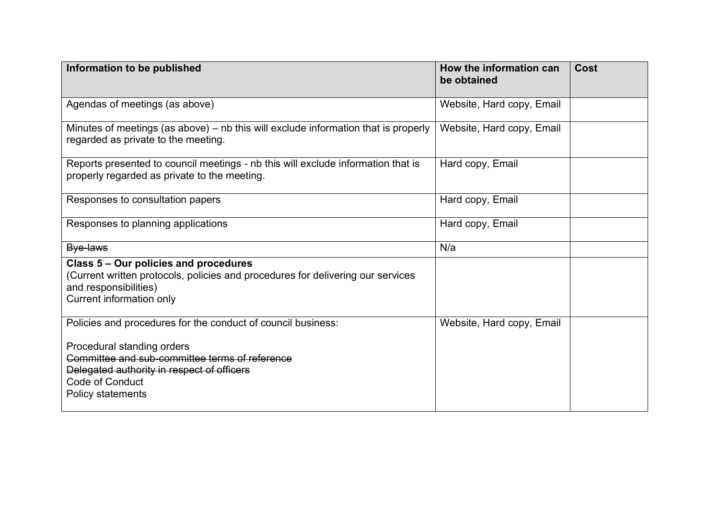| Information to be published                                                                                                                                                   | How the information can<br>be obtained | <b>Cost</b> |
|-------------------------------------------------------------------------------------------------------------------------------------------------------------------------------|----------------------------------------|-------------|
| Agendas of meetings (as above)                                                                                                                                                | Website, Hard copy, Email              |             |
| Minutes of meetings (as above) – nb this will exclude information that is properly<br>regarded as private to the meeting.                                                     | Website, Hard copy, Email              |             |
| Reports presented to council meetings - nb this will exclude information that is<br>properly regarded as private to the meeting.                                              | Hard copy, Email                       |             |
| Responses to consultation papers                                                                                                                                              | Hard copy, Email                       |             |
| Responses to planning applications                                                                                                                                            | Hard copy, Email                       |             |
| Bye-laws                                                                                                                                                                      | N/a                                    |             |
| Class 5 – Our policies and procedures<br>(Current written protocols, policies and procedures for delivering our services<br>and responsibilities)<br>Current information only |                                        |             |
| Policies and procedures for the conduct of council business:                                                                                                                  | Website, Hard copy, Email              |             |
| Procedural standing orders<br>Committee and sub-committee terms of reference<br>Delegated authority in respect of officers<br><b>Code of Conduct</b><br>Policy statements     |                                        |             |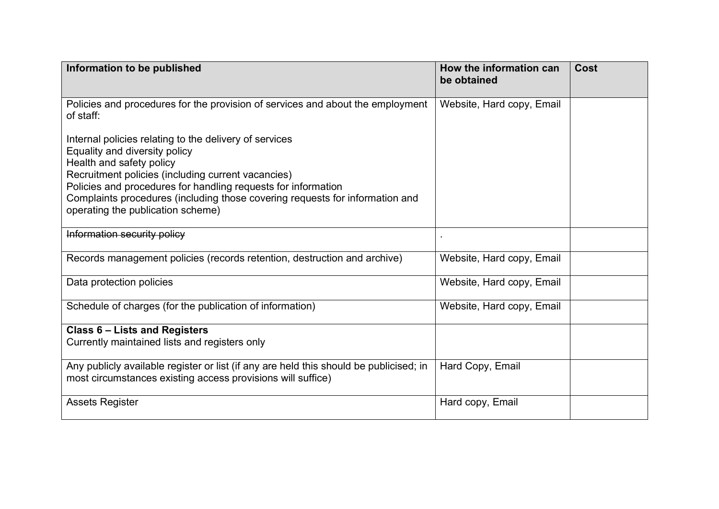| Information to be published                                                                                                                                                                                                              | How the information can<br>be obtained | <b>Cost</b> |
|------------------------------------------------------------------------------------------------------------------------------------------------------------------------------------------------------------------------------------------|----------------------------------------|-------------|
| Policies and procedures for the provision of services and about the employment<br>of staff:                                                                                                                                              | Website, Hard copy, Email              |             |
| Internal policies relating to the delivery of services<br>Equality and diversity policy<br>Health and safety policy                                                                                                                      |                                        |             |
| Recruitment policies (including current vacancies)<br>Policies and procedures for handling requests for information<br>Complaints procedures (including those covering requests for information and<br>operating the publication scheme) |                                        |             |
| Information security policy                                                                                                                                                                                                              |                                        |             |
| Records management policies (records retention, destruction and archive)                                                                                                                                                                 | Website, Hard copy, Email              |             |
| Data protection policies                                                                                                                                                                                                                 | Website, Hard copy, Email              |             |
| Schedule of charges (for the publication of information)                                                                                                                                                                                 | Website, Hard copy, Email              |             |
| <b>Class 6 - Lists and Registers</b><br>Currently maintained lists and registers only                                                                                                                                                    |                                        |             |
| Any publicly available register or list (if any are held this should be publicised; in<br>most circumstances existing access provisions will suffice)                                                                                    | Hard Copy, Email                       |             |
| <b>Assets Register</b>                                                                                                                                                                                                                   | Hard copy, Email                       |             |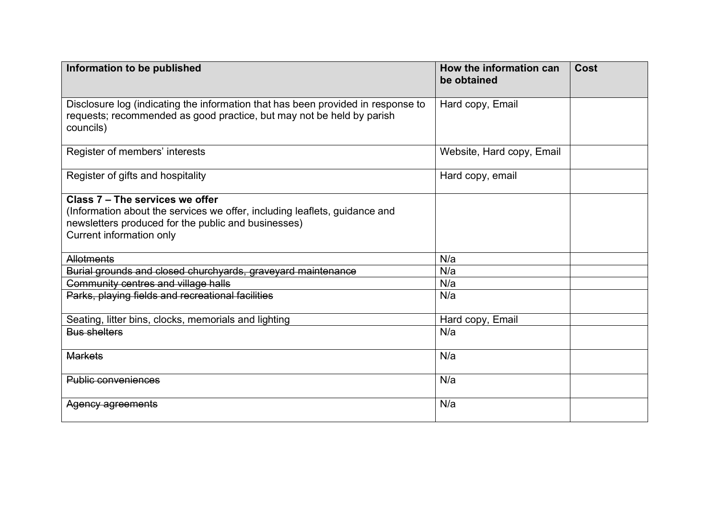| Information to be published                                                                                                                                                                      | How the information can<br>be obtained | <b>Cost</b> |
|--------------------------------------------------------------------------------------------------------------------------------------------------------------------------------------------------|----------------------------------------|-------------|
| Disclosure log (indicating the information that has been provided in response to<br>requests; recommended as good practice, but may not be held by parish<br>councils)                           | Hard copy, Email                       |             |
| Register of members' interests                                                                                                                                                                   | Website, Hard copy, Email              |             |
| Register of gifts and hospitality                                                                                                                                                                | Hard copy, email                       |             |
| Class 7 - The services we offer<br>(Information about the services we offer, including leaflets, guidance and<br>newsletters produced for the public and businesses)<br>Current information only |                                        |             |
| <b>Allotments</b>                                                                                                                                                                                | N/a                                    |             |
| Burial grounds and closed churchyards, graveyard maintenance                                                                                                                                     | N/a                                    |             |
| Community centres and village halls                                                                                                                                                              | N/a                                    |             |
| Parks, playing fields and recreational facilities                                                                                                                                                | N/a                                    |             |
| Seating, litter bins, clocks, memorials and lighting                                                                                                                                             | Hard copy, Email                       |             |
| <b>Bus shelters</b>                                                                                                                                                                              | N/a                                    |             |
| <b>Markets</b>                                                                                                                                                                                   | N/a                                    |             |
| <b>Public conveniences</b>                                                                                                                                                                       | N/a                                    |             |
| Agency agreements                                                                                                                                                                                | N/a                                    |             |